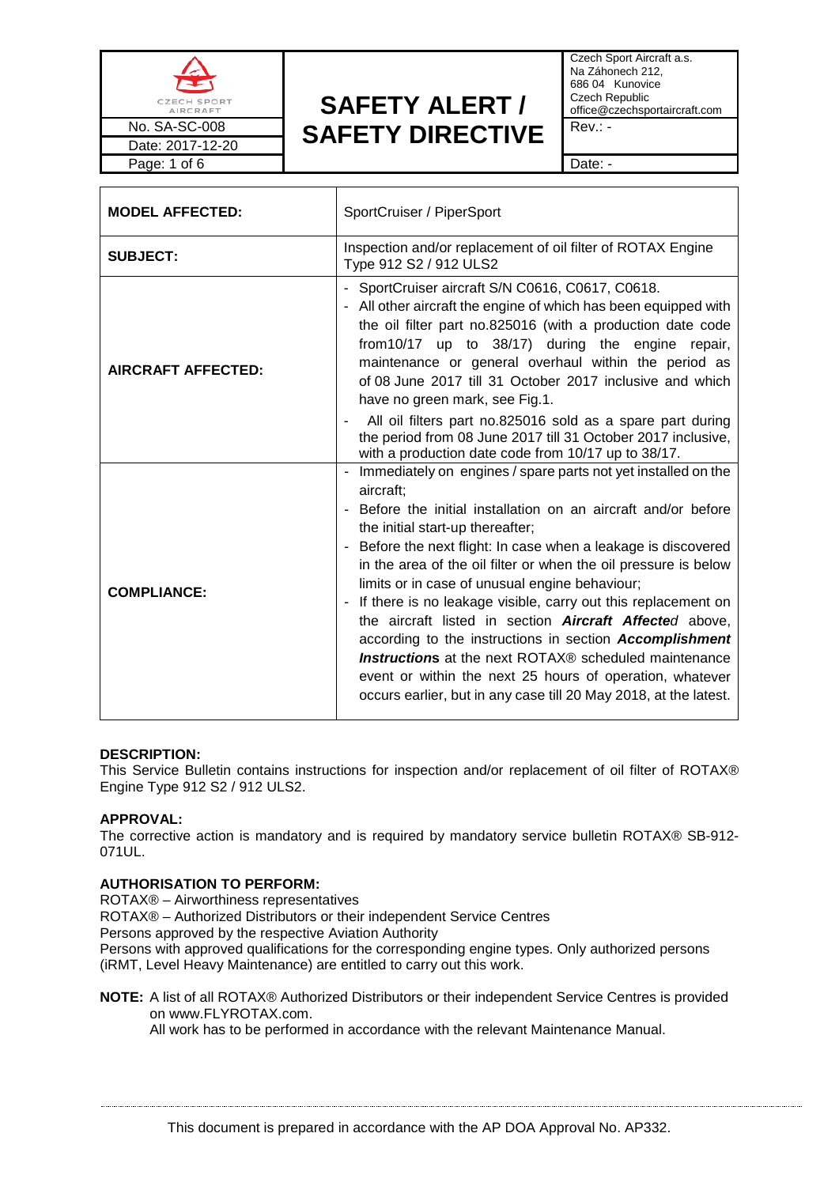

Czech Sport Aircraft a.s. Na Záhonech 212, 686 04 Kunovice Czech Republic office@czechsportaircraft.com

| <b>MODEL AFFECTED:</b>    | SportCruiser / PiperSport                                                                                                                                                                                                                                                                                                                                                                                                                                                                                                                                                                                                                                                                                                                                                             |  |
|---------------------------|---------------------------------------------------------------------------------------------------------------------------------------------------------------------------------------------------------------------------------------------------------------------------------------------------------------------------------------------------------------------------------------------------------------------------------------------------------------------------------------------------------------------------------------------------------------------------------------------------------------------------------------------------------------------------------------------------------------------------------------------------------------------------------------|--|
| <b>SUBJECT:</b>           | Inspection and/or replacement of oil filter of ROTAX Engine<br>Type 912 S2 / 912 ULS2                                                                                                                                                                                                                                                                                                                                                                                                                                                                                                                                                                                                                                                                                                 |  |
| <b>AIRCRAFT AFFECTED:</b> | - SportCruiser aircraft S/N C0616, C0617, C0618.<br>- All other aircraft the engine of which has been equipped with<br>the oil filter part no.825016 (with a production date code<br>from 10/17 up to 38/17) during the engine repair,<br>maintenance or general overhaul within the period as<br>of 08 June 2017 till 31 October 2017 inclusive and which<br>have no green mark, see Fig.1.                                                                                                                                                                                                                                                                                                                                                                                          |  |
|                           | All oil filters part no.825016 sold as a spare part during<br>the period from 08 June 2017 till 31 October 2017 inclusive,<br>with a production date code from 10/17 up to 38/17.                                                                                                                                                                                                                                                                                                                                                                                                                                                                                                                                                                                                     |  |
| <b>COMPLIANCE:</b>        | - Immediately on engines / spare parts not yet installed on the<br>aircraft:<br>Before the initial installation on an aircraft and/or before<br>the initial start-up thereafter;<br>Before the next flight: In case when a leakage is discovered<br>in the area of the oil filter or when the oil pressure is below<br>limits or in case of unusual engine behaviour;<br>If there is no leakage visible, carry out this replacement on<br>$\blacksquare$<br>the aircraft listed in section <b>Aircraft Affected</b> above,<br>according to the instructions in section Accomplishment<br><b>Instructions</b> at the next ROTAX® scheduled maintenance<br>event or within the next 25 hours of operation, whatever<br>occurs earlier, but in any case till 20 May 2018, at the latest. |  |

# **DESCRIPTION:**

This Service Bulletin contains instructions for inspection and/or replacement of oil filter of ROTAX® Engine Type 912 S2 / 912 ULS2.

# **APPROVAL:**

The corrective action is mandatory and is required by mandatory service bulletin ROTAX® SB-912- 071UL.

# **AUTHORISATION TO PERFORM:**

ROTAX® – Airworthiness representatives

ROTAX® – Authorized Distributors or their independent Service Centres

Persons approved by the respective Aviation Authority

Persons with approved qualifications for the corresponding engine types. Only authorized persons (iRMT, Level Heavy Maintenance) are entitled to carry out this work.

**NOTE:** A list of all ROTAX® Authorized Distributors or their independent Service Centres is provided on [www.FLYROTAX.com.](http://www.flyrotax.com/)

All work has to be performed in accordance with the relevant Maintenance Manual.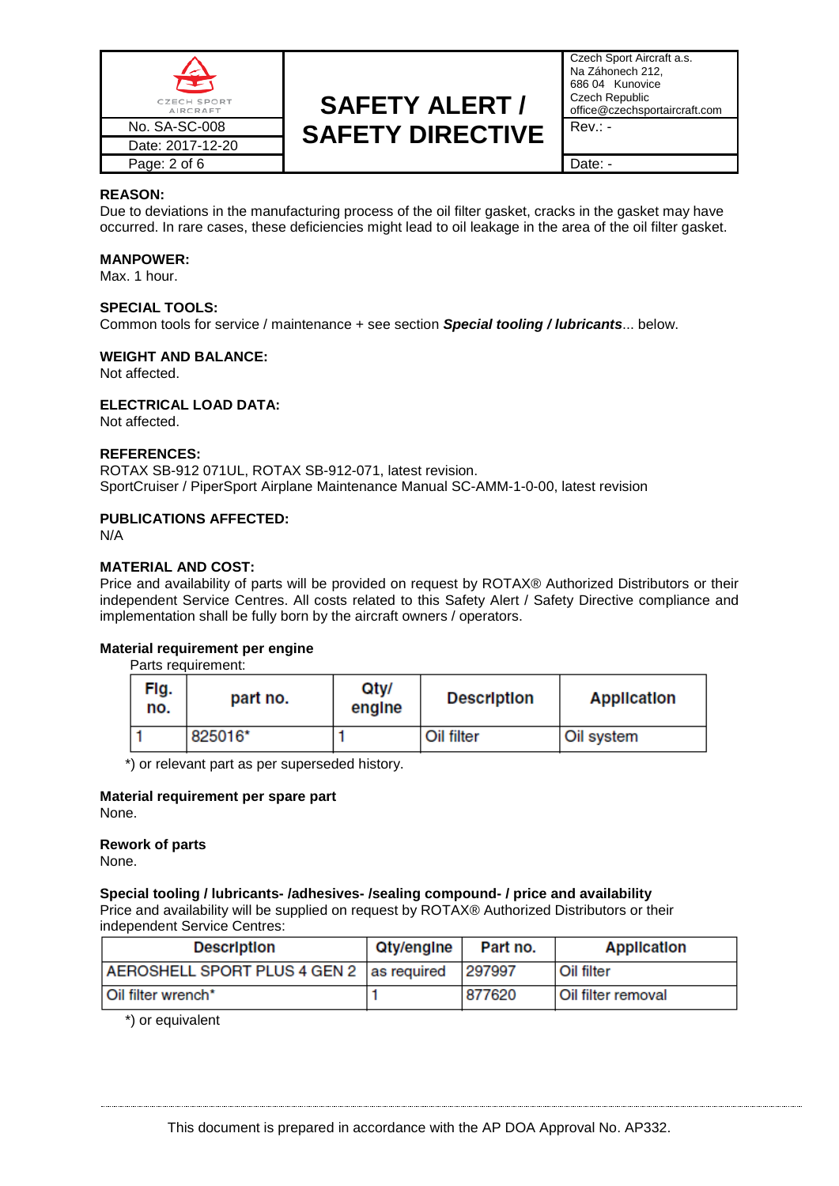

Czech Sport Aircraft a.s. Na Záhonech 212, 686 04 Kunovice Czech Republic office@czechsportaircraft.com

### **REASON:**

Due to deviations in the manufacturing process of the oil filter gasket, cracks in the gasket may have occurred. In rare cases, these deficiencies might lead to oil leakage in the area of the oil filter gasket.

### **MANPOWER:**

Max. 1 hour.

### **SPECIAL TOOLS:**

Common tools for service / maintenance + see section *Special tooling / lubricants*... below.

### **WEIGHT AND BALANCE:**

Not affected.

### **ELECTRICAL LOAD DATA:**

Not affected.

### **REFERENCES:**

ROTAX SB-912 071UL, ROTAX SB-912-071, latest revision. SportCruiser / PiperSport Airplane Maintenance Manual SC-AMM-1-0-00, latest revision

## **PUBLICATIONS AFFECTED:**

N/A

### **MATERIAL AND COST:**

Price and availability of parts will be provided on request by ROTAX® Authorized Distributors or their independent Service Centres. All costs related to this Safety Alert / Safety Directive compliance and implementation shall be fully born by the aircraft owners / operators.

### **Material requirement per engine**

Parts requirement:

| Flg.<br>no. | part no. | Qty/<br>engine | <b>Description</b> | <b>Application</b> |
|-------------|----------|----------------|--------------------|--------------------|
|             | 825016*  |                | Oil filter         | Oil system         |

\*) or relevant part as per superseded history.

### **Material requirement per spare part**

None.

### **Rework of parts**

None.

# **Special tooling / lubricants- /adhesives- /sealing compound- / price and availability**

Price and availability will be supplied on request by ROTAX® Authorized Distributors or their independent Service Centres:

| <b>Description</b>                       | Qty/engine | Part no. | <b>Application</b> |
|------------------------------------------|------------|----------|--------------------|
| AEROSHELL SPORT PLUS 4 GEN 2 as required |            | 297997   | l Oil filter       |
| Oil filter wrench*                       |            | 877620   | Oil filter removal |

\*) or equivalent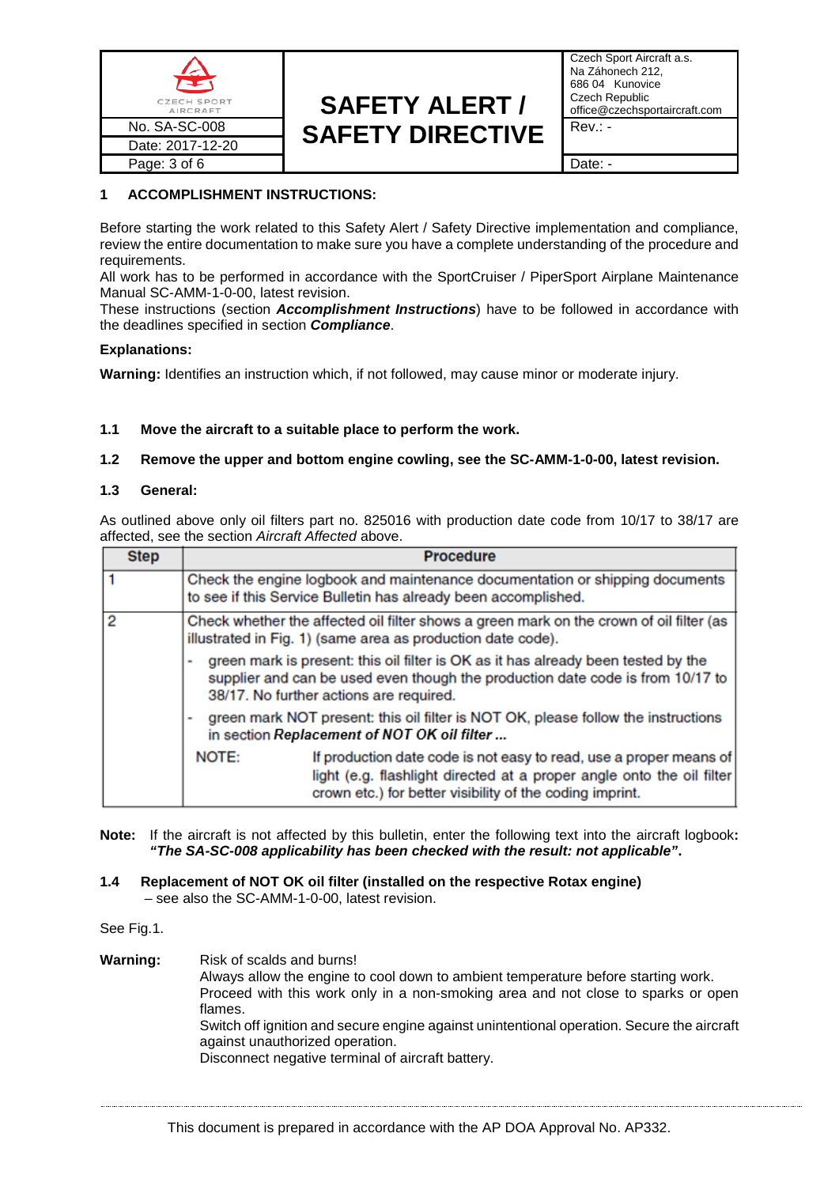

Czech Sport Aircraft a.s. Na Záhonech 212, 686 04 Kunovice Czech Republic office@czechsportaircraft.com

# **1 ACCOMPLISHMENT INSTRUCTIONS:**

Before starting the work related to this Safety Alert / Safety Directive implementation and compliance, review the entire documentation to make sure you have a complete understanding of the procedure and requirements.

All work has to be performed in accordance with the SportCruiser / PiperSport Airplane Maintenance Manual SC-AMM-1-0-00, latest revision.

These instructions (section *Accomplishment Instructions*) have to be followed in accordance with the deadlines specified in section *Compliance*.

# **Explanations:**

**Warning:** Identifies an instruction which, if not followed, may cause minor or moderate injury.

# **1.1 Move the aircraft to a suitable place to perform the work.**

# **1.2 Remove the upper and bottom engine cowling, see the SC-AMM-1-0-00, latest revision.**

# **1.3 General:**

As outlined above only oil filters part no. 825016 with production date code from 10/17 to 38/17 are affected, see the section *Aircraft Affected* above.

| <b>Step</b> |                                                                                                                                                                                                                | <b>Procedure</b>                                                                                                                                                                                        |  |
|-------------|----------------------------------------------------------------------------------------------------------------------------------------------------------------------------------------------------------------|---------------------------------------------------------------------------------------------------------------------------------------------------------------------------------------------------------|--|
|             |                                                                                                                                                                                                                | Check the engine logbook and maintenance documentation or shipping documents<br>to see if this Service Bulletin has already been accomplished.                                                          |  |
|             | Check whether the affected oil filter shows a green mark on the crown of oil filter (as<br>illustrated in Fig. 1) (same area as production date code).                                                         |                                                                                                                                                                                                         |  |
|             | green mark is present: this oil filter is OK as it has already been tested by the<br>supplier and can be used even though the production date code is from 10/17 to<br>38/17. No further actions are required. |                                                                                                                                                                                                         |  |
|             |                                                                                                                                                                                                                | green mark NOT present: this oil filter is NOT OK, please follow the instructions<br>in section Replacement of NOT OK oil filter                                                                        |  |
|             | NOTE:                                                                                                                                                                                                          | If production date code is not easy to read, use a proper means of<br>light (e.g. flashlight directed at a proper angle onto the oil filter<br>crown etc.) for better visibility of the coding imprint. |  |

**Note:** If the aircraft is not affected by this bulletin, enter the following text into the aircraft logbook**:**  *"The SA-SC-008 applicability has been checked with the result: not applicable"***.**

# **1.4 Replacement of NOT OK oil filter (installed on the respective Rotax engine)** – see also the SC-AMM-1-0-00, latest revision.

See Fig.1.

**Warning:** Risk of scalds and burns! Always allow the engine to cool down to ambient temperature before starting work. Proceed with this work only in a non-smoking area and not close to sparks or open flames. Switch off ignition and secure engine against unintentional operation. Secure the aircraft against unauthorized operation. Disconnect negative terminal of aircraft battery.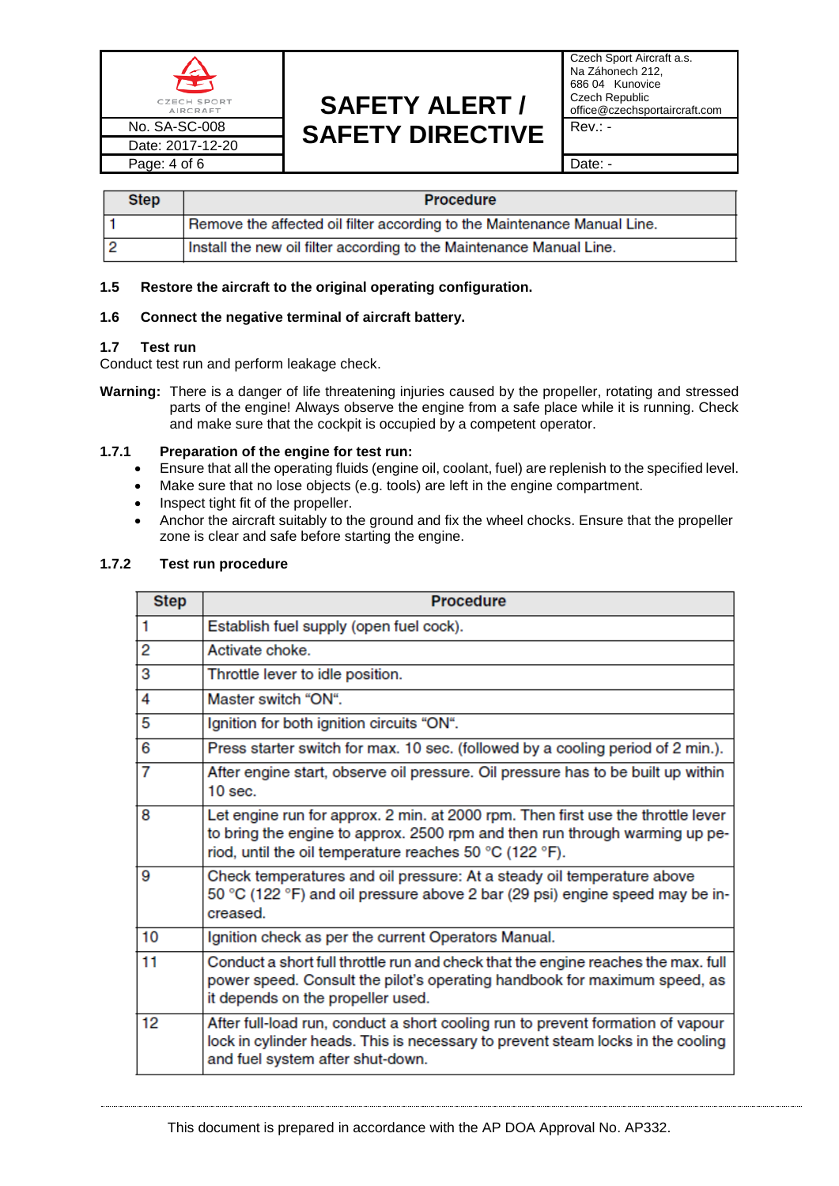

Czech Sport Aircraft a.s. Na Záhonech 212, 686 04 Kunovice Czech Republic office@czechsportaircraft.com

| <b>Step</b> | <b>Procedure</b>                                                         |
|-------------|--------------------------------------------------------------------------|
|             | Remove the affected oil filter according to the Maintenance Manual Line. |
|             | Install the new oil filter according to the Maintenance Manual Line.     |

# **1.5 Restore the aircraft to the original operating configuration.**

# **1.6 Connect the negative terminal of aircraft battery.**

# **1.7 Test run**

Conduct test run and perform leakage check.

**Warning:** There is a danger of life threatening injuries caused by the propeller, rotating and stressed parts of the engine! Always observe the engine from a safe place while it is running. Check and make sure that the cockpit is occupied by a competent operator.

# **1.7.1 Preparation of the engine for test run:**

- Ensure that all the operating fluids (engine oil, coolant, fuel) are replenish to the specified level.
- Make sure that no lose objects (e.g. tools) are left in the engine compartment.
- Inspect tight fit of the propeller.
- Anchor the aircraft suitably to the ground and fix the wheel chocks. Ensure that the propeller zone is clear and safe before starting the engine.

# **1.7.2 Test run procedure**

| <b>Step</b> | <b>Procedure</b>                                                                                                                                                                                                           |
|-------------|----------------------------------------------------------------------------------------------------------------------------------------------------------------------------------------------------------------------------|
| 1           | Establish fuel supply (open fuel cock).                                                                                                                                                                                    |
| 2           | Activate choke                                                                                                                                                                                                             |
| з           | Throttle lever to idle position.                                                                                                                                                                                           |
| 4           | Master switch "ON".                                                                                                                                                                                                        |
| 5           | Ignition for both ignition circuits "ON".                                                                                                                                                                                  |
| 6           | Press starter switch for max. 10 sec. (followed by a cooling period of 2 min.).                                                                                                                                            |
| 7           | After engine start, observe oil pressure. Oil pressure has to be built up within<br>$10$ sec.                                                                                                                              |
| 8           | Let engine run for approx. 2 min. at 2000 rpm. Then first use the throttle lever<br>to bring the engine to approx. 2500 rpm and then run through warming up pe-<br>riod, until the oil temperature reaches 50 °C (122 °F). |
| 9           | Check temperatures and oil pressure: At a steady oil temperature above<br>50 °C (122 °F) and oil pressure above 2 bar (29 psi) engine speed may be in-<br>creased.                                                         |
| 10          | Ignition check as per the current Operators Manual.                                                                                                                                                                        |
| 11          | Conduct a short full throttle run and check that the engine reaches the max. full<br>power speed. Consult the pilot's operating handbook for maximum speed, as<br>it depends on the propeller used.                        |
| 12          | After full-load run, conduct a short cooling run to prevent formation of vapour<br>lock in cylinder heads. This is necessary to prevent steam locks in the cooling<br>and fuel system after shut-down.                     |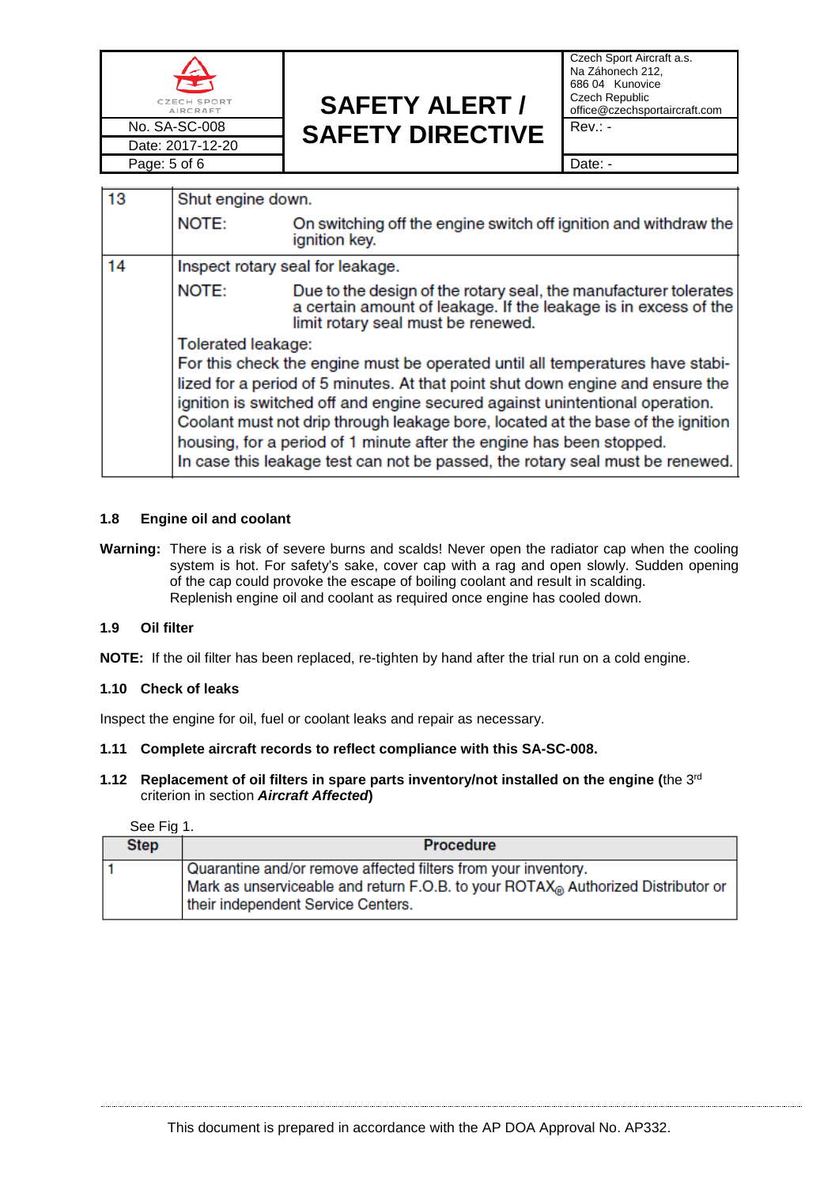

Czech Sport Aircraft a.s. Na Záhonech 212, 686 04 Kunovice Czech Republic office@czechsportaircraft.com

| 13 |                                                                                                                                                                                                                                                 |                                                                                                                                                                           |  |
|----|-------------------------------------------------------------------------------------------------------------------------------------------------------------------------------------------------------------------------------------------------|---------------------------------------------------------------------------------------------------------------------------------------------------------------------------|--|
|    | Shut engine down.                                                                                                                                                                                                                               |                                                                                                                                                                           |  |
|    | NOTE:                                                                                                                                                                                                                                           | On switching off the engine switch off ignition and withdraw the<br>ignition key.                                                                                         |  |
| 14 | Inspect rotary seal for leakage.                                                                                                                                                                                                                |                                                                                                                                                                           |  |
|    | NOTE:                                                                                                                                                                                                                                           | Due to the design of the rotary seal, the manufacturer tolerates<br>a certain amount of leakage. If the leakage is in excess of the<br>limit rotary seal must be renewed. |  |
|    | Tolerated leakage:                                                                                                                                                                                                                              |                                                                                                                                                                           |  |
|    | For this check the engine must be operated until all temperatures have stabi-<br>lized for a period of 5 minutes. At that point shut down engine and ensure the<br>ignition is switched off and engine secured against unintentional operation. |                                                                                                                                                                           |  |
|    |                                                                                                                                                                                                                                                 |                                                                                                                                                                           |  |
|    | Coolant must not drip through leakage bore, located at the base of the ignition<br>housing, for a period of 1 minute after the engine has been stopped.<br>In case this leakage test can not be passed, the rotary seal must be renewed.        |                                                                                                                                                                           |  |
|    |                                                                                                                                                                                                                                                 |                                                                                                                                                                           |  |

## **1.8 Engine oil and coolant**

**Warning:** There is a risk of severe burns and scalds! Never open the radiator cap when the cooling system is hot. For safety's sake, cover cap with a rag and open slowly. Sudden opening of the cap could provoke the escape of boiling coolant and result in scalding. Replenish engine oil and coolant as required once engine has cooled down.

# **1.9 Oil filter**

**NOTE:** If the oil filter has been replaced, re-tighten by hand after the trial run on a cold engine.

### **1.10 Check of leaks**

Inspect the engine for oil, fuel or coolant leaks and repair as necessary.

# **1.11 Complete aircraft records to reflect compliance with this SA-SC-008.**

## **1.12 Replacement of oil filters in spare parts inventory/not installed on the engine (**the 3rd criterion in section *Aircraft Affected***)**

See Fig 1.

| <b>Step</b> | <b>Procedure</b>                                                                                                                                                                         |
|-------------|------------------------------------------------------------------------------------------------------------------------------------------------------------------------------------------|
|             | Quarantine and/or remove affected filters from your inventory.<br>Mark as unserviceable and return F.O.B. to your ROTAX® Authorized Distributor or<br>their independent Service Centers. |